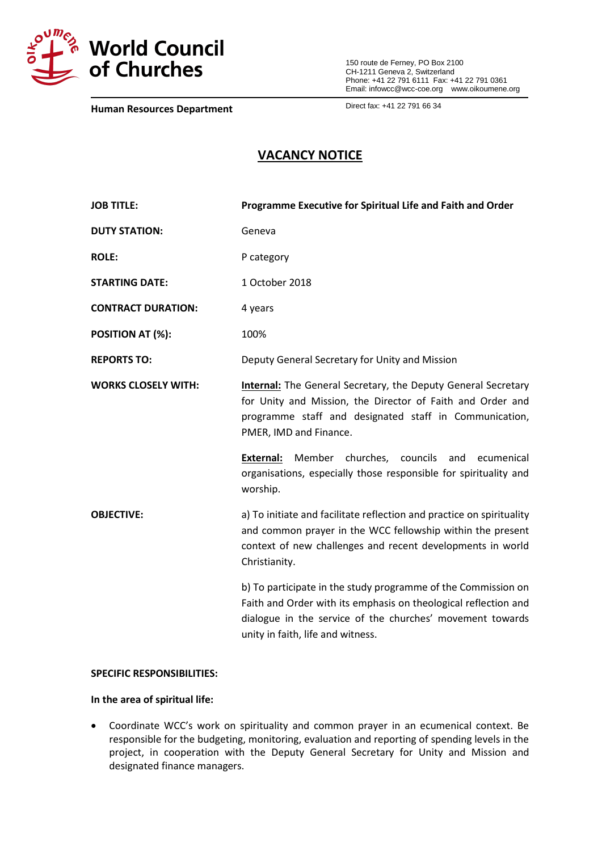

150 route de Ferney, PO Box 2100 CH-1211 Geneva 2, Switzerland Phone: +41 22 791 6111 Fax: +41 22 791 0361 Email: infowcc@wcc-coe.org [www.oikoumene.org](http://www.oikoumene.org/)

**Human Resources Department**

Direct fax: +41 22 791 66 34

# **VACANCY NOTICE**

| <b>JOB TITLE:</b>          | Programme Executive for Spiritual Life and Faith and Order                                                                                                                                                                         |
|----------------------------|------------------------------------------------------------------------------------------------------------------------------------------------------------------------------------------------------------------------------------|
| <b>DUTY STATION:</b>       | Geneva                                                                                                                                                                                                                             |
| <b>ROLE:</b>               | P category                                                                                                                                                                                                                         |
| <b>STARTING DATE:</b>      | 1 October 2018                                                                                                                                                                                                                     |
| <b>CONTRACT DURATION:</b>  | 4 years                                                                                                                                                                                                                            |
| POSITION AT (%):           | 100%                                                                                                                                                                                                                               |
| <b>REPORTS TO:</b>         | Deputy General Secretary for Unity and Mission                                                                                                                                                                                     |
| <b>WORKS CLOSELY WITH:</b> | <b>Internal:</b> The General Secretary, the Deputy General Secretary<br>for Unity and Mission, the Director of Faith and Order and<br>programme staff and designated staff in Communication,<br>PMER, IMD and Finance.             |
|                            | Member churches,<br>councils<br><b>External:</b><br>and<br>ecumenical<br>organisations, especially those responsible for spirituality and<br>worship.                                                                              |
| <b>OBJECTIVE:</b>          | a) To initiate and facilitate reflection and practice on spirituality<br>and common prayer in the WCC fellowship within the present<br>context of new challenges and recent developments in world<br>Christianity.                 |
|                            | b) To participate in the study programme of the Commission on<br>Faith and Order with its emphasis on theological reflection and<br>dialogue in the service of the churches' movement towards<br>unity in faith, life and witness. |

### **SPECIFIC RESPONSIBILITIES:**

#### **In the area of spiritual life:**

 Coordinate WCC's work on spirituality and common prayer in an ecumenical context. Be responsible for the budgeting, monitoring, evaluation and reporting of spending levels in the project, in cooperation with the Deputy General Secretary for Unity and Mission and designated finance managers.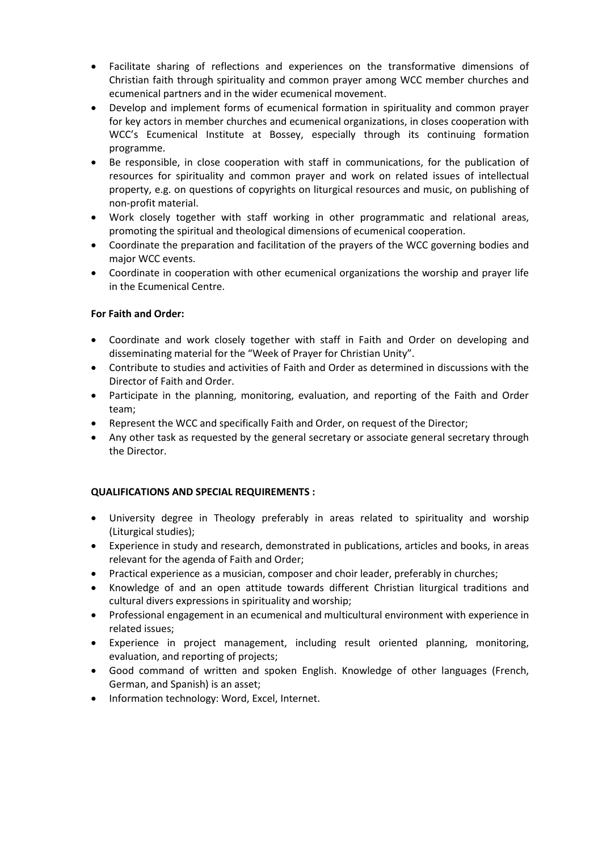- Facilitate sharing of reflections and experiences on the transformative dimensions of Christian faith through spirituality and common prayer among WCC member churches and ecumenical partners and in the wider ecumenical movement.
- Develop and implement forms of ecumenical formation in spirituality and common prayer for key actors in member churches and ecumenical organizations, in closes cooperation with WCC's Ecumenical Institute at Bossey, especially through its continuing formation programme.
- Be responsible, in close cooperation with staff in communications, for the publication of resources for spirituality and common prayer and work on related issues of intellectual property, e.g. on questions of copyrights on liturgical resources and music, on publishing of non-profit material.
- Work closely together with staff working in other programmatic and relational areas, promoting the spiritual and theological dimensions of ecumenical cooperation.
- Coordinate the preparation and facilitation of the prayers of the WCC governing bodies and major WCC events.
- Coordinate in cooperation with other ecumenical organizations the worship and prayer life in the Ecumenical Centre.

## **For Faith and Order:**

- Coordinate and work closely together with staff in Faith and Order on developing and disseminating material for the "Week of Prayer for Christian Unity".
- Contribute to studies and activities of Faith and Order as determined in discussions with the Director of Faith and Order.
- Participate in the planning, monitoring, evaluation, and reporting of the Faith and Order team;
- Represent the WCC and specifically Faith and Order, on request of the Director;
- Any other task as requested by the general secretary or associate general secretary through the Director.

### **QUALIFICATIONS AND SPECIAL REQUIREMENTS :**

- University degree in Theology preferably in areas related to spirituality and worship (Liturgical studies);
- Experience in study and research, demonstrated in publications, articles and books, in areas relevant for the agenda of Faith and Order;
- Practical experience as a musician, composer and choir leader, preferably in churches;
- Knowledge of and an open attitude towards different Christian liturgical traditions and cultural divers expressions in spirituality and worship;
- Professional engagement in an ecumenical and multicultural environment with experience in related issues;
- Experience in project management, including result oriented planning, monitoring, evaluation, and reporting of projects;
- Good command of written and spoken English. Knowledge of other languages (French, German, and Spanish) is an asset;
- Information technology: Word, Excel, Internet.